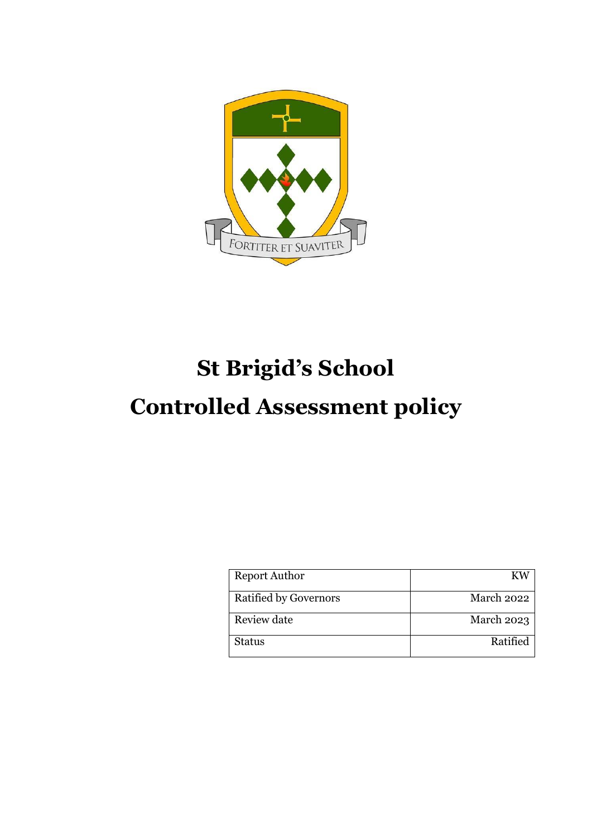

# **St Brigid's School**

## **Controlled Assessment policy**

| <b>Report Author</b>         | K W               |
|------------------------------|-------------------|
| <b>Ratified by Governors</b> | March 2022        |
| Review date                  | <b>March 2023</b> |
| Status                       | Ratified          |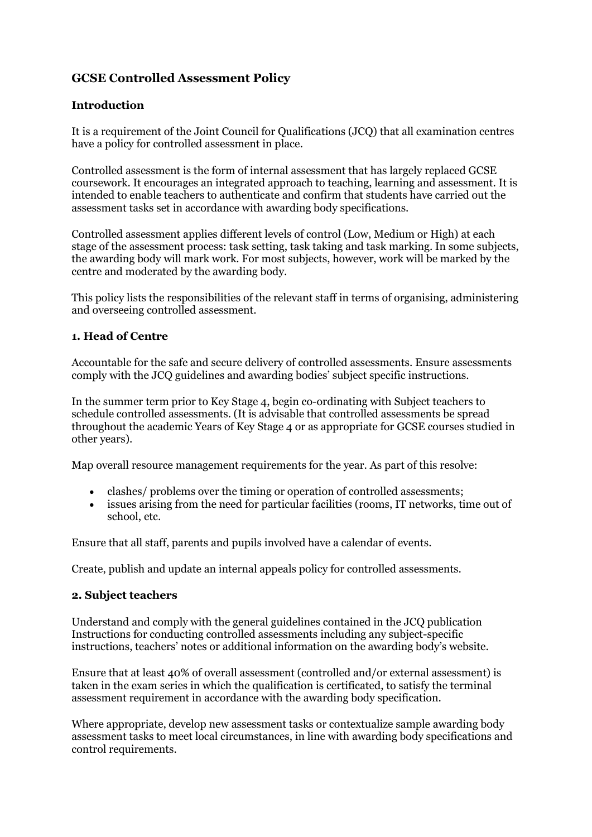### **GCSE Controlled Assessment Policy**

#### **Introduction**

It is a requirement of the Joint Council for Qualifications (JCQ) that all examination centres have a policy for controlled assessment in place.

Controlled assessment is the form of internal assessment that has largely replaced GCSE coursework. It encourages an integrated approach to teaching, learning and assessment. It is intended to enable teachers to authenticate and confirm that students have carried out the assessment tasks set in accordance with awarding body specifications.

Controlled assessment applies different levels of control (Low, Medium or High) at each stage of the assessment process: task setting, task taking and task marking. In some subjects, the awarding body will mark work. For most subjects, however, work will be marked by the centre and moderated by the awarding body.

This policy lists the responsibilities of the relevant staff in terms of organising, administering and overseeing controlled assessment.

#### **1. Head of Centre**

Accountable for the safe and secure delivery of controlled assessments. Ensure assessments comply with the JCQ guidelines and awarding bodies' subject specific instructions.

In the summer term prior to Key Stage 4, begin co-ordinating with Subject teachers to schedule controlled assessments. (It is advisable that controlled assessments be spread throughout the academic Years of Key Stage 4 or as appropriate for GCSE courses studied in other years).

Map overall resource management requirements for the year. As part of this resolve:

- clashes/ problems over the timing or operation of controlled assessments;
- issues arising from the need for particular facilities (rooms, IT networks, time out of school, etc.

Ensure that all staff, parents and pupils involved have a calendar of events.

Create, publish and update an internal appeals policy for controlled assessments.

#### **2. Subject teachers**

Understand and comply with the general guidelines contained in the JCQ publication Instructions for conducting controlled assessments including any subject-specific instructions, teachers' notes or additional information on the awarding body's website.

Ensure that at least 40% of overall assessment (controlled and/or external assessment) is taken in the exam series in which the qualification is certificated, to satisfy the terminal assessment requirement in accordance with the awarding body specification.

Where appropriate, develop new assessment tasks or contextualize sample awarding body assessment tasks to meet local circumstances, in line with awarding body specifications and control requirements.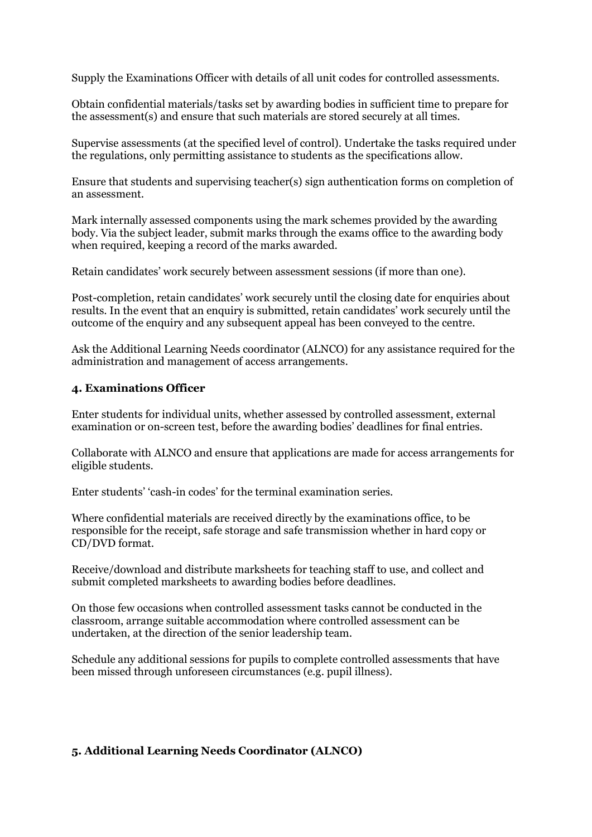Supply the Examinations Officer with details of all unit codes for controlled assessments.

Obtain confidential materials/tasks set by awarding bodies in sufficient time to prepare for the assessment(s) and ensure that such materials are stored securely at all times.

Supervise assessments (at the specified level of control). Undertake the tasks required under the regulations, only permitting assistance to students as the specifications allow.

Ensure that students and supervising teacher(s) sign authentication forms on completion of an assessment.

Mark internally assessed components using the mark schemes provided by the awarding body. Via the subject leader, submit marks through the exams office to the awarding body when required, keeping a record of the marks awarded.

Retain candidates' work securely between assessment sessions (if more than one).

Post-completion, retain candidates' work securely until the closing date for enquiries about results. In the event that an enquiry is submitted, retain candidates' work securely until the outcome of the enquiry and any subsequent appeal has been conveyed to the centre.

Ask the Additional Learning Needs coordinator (ALNCO) for any assistance required for the administration and management of access arrangements.

#### **4. Examinations Officer**

Enter students for individual units, whether assessed by controlled assessment, external examination or on-screen test, before the awarding bodies' deadlines for final entries.

Collaborate with ALNCO and ensure that applications are made for access arrangements for eligible students.

Enter students' 'cash-in codes' for the terminal examination series.

Where confidential materials are received directly by the examinations office, to be responsible for the receipt, safe storage and safe transmission whether in hard copy or CD/DVD format.

Receive/download and distribute marksheets for teaching staff to use, and collect and submit completed marksheets to awarding bodies before deadlines.

On those few occasions when controlled assessment tasks cannot be conducted in the classroom, arrange suitable accommodation where controlled assessment can be undertaken, at the direction of the senior leadership team.

Schedule any additional sessions for pupils to complete controlled assessments that have been missed through unforeseen circumstances (e.g. pupil illness).

#### **5. Additional Learning Needs Coordinator (ALNCO)**